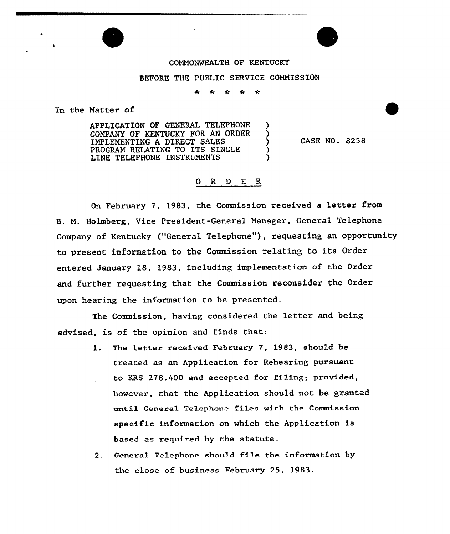

## BEFORE THE PUBLIC SERVICE COMMISSION

∗  $\star$ 大  $\star$ 

In the Matter of

APPLICATION OF GENERAL TELEPHONE COMPANY OF KENTUCKY FOR AN ORDER IMPLEMENTING A DIRECT SALES PROGRAM RELATING TO ITS SINGLE LINE TELEPHONE INSTRUMENTS

CASE NO. 8258

## O R D E R

On February 7, 1983, the Commission received a letter from B. M. Holmbexg, Vice President-General Manager, General Telephone Company of Kentucky ("General Telephone"), requesting an opportunity to present information to the Commission relating to its Order entered January l8, l983, including implementation of the Order and further requesting that the Commission reconsider the Order upon hearing the information to be presented.

The Commission, having considered the letter and being advised, is of the opinion and finds that:

- 1. The letter received February 7, 1983, should be treated as an Application for Rehearing pursuant to KRS 278.400 and accepted for filing; provided, however, that the Application should not be granted until Genexal Telephone files with the Commission specific information on which the Application is based as required by the statute.
- 2. General Telephone should file the information by the close of business February 25, 1983.